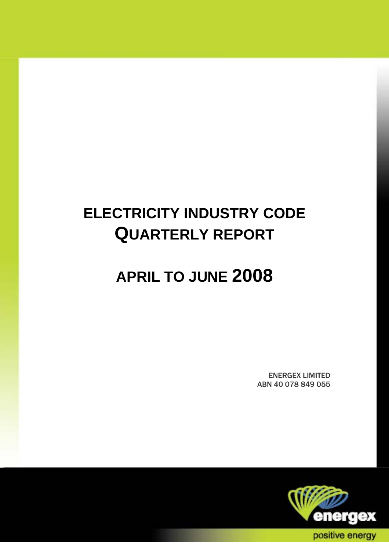# **ELECTRICITY INDUSTRY CODE QUARTERLY REPORT**

# **APRIL TO JUNE 2008**

ENERGEX LIMITED ABN 40 078 849 055

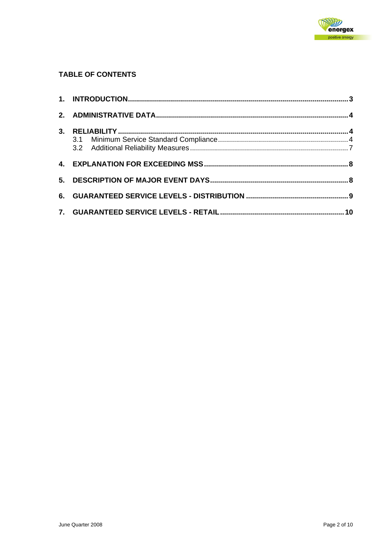

#### **TABLE OF CONTENTS**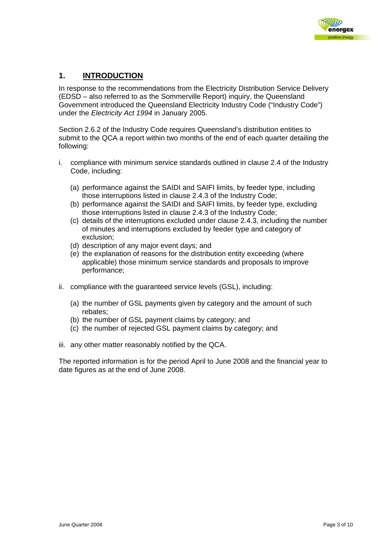

### <span id="page-2-0"></span>**1. INTRODUCTION**

In response to the recommendations from the Electricity Distribution Service Delivery (EDSD – also referred to as the Sommerville Report) inquiry, the Queensland Government introduced the Queensland Electricity Industry Code ("Industry Code") under the *Electricity Act 1994* in January 2005.

Section 2.6.2 of the Industry Code requires Queensland's distribution entities to submit to the QCA a report within two months of the end of each quarter detailing the following:

- i. compliance with minimum service standards outlined in clause 2.4 of the Industry Code, including:
	- (a) performance against the SAIDI and SAIFI limits, by feeder type, including those interruptions listed in clause 2.4.3 of the Industry Code;
	- (b) performance against the SAIDI and SAIFI limits, by feeder type, excluding those interruptions listed in clause 2.4.3 of the Industry Code;
	- (c) details of the interruptions excluded under clause 2.4.3, including the number of minutes and interruptions excluded by feeder type and category of exclusion;
	- (d) description of any major event days; and
	- (e) the explanation of reasons for the distribution entity exceeding (where applicable) those minimum service standards and proposals to improve performance;
- ii. compliance with the guaranteed service levels (GSL), including:
	- (a) the number of GSL payments given by category and the amount of such rebates;
	- (b) the number of GSL payment claims by category; and
	- (c) the number of rejected GSL payment claims by category; and
- iii. any other matter reasonably notified by the QCA.

The reported information is for the period April to June 2008 and the financial year to date figures as at the end of June 2008.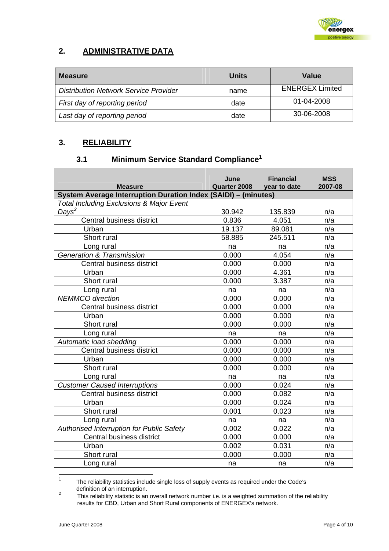

## <span id="page-3-0"></span>**2. ADMINISTRATIVE DATA**

| <b>Measure</b>                               | Units | Value                  |
|----------------------------------------------|-------|------------------------|
| <b>Distribution Network Service Provider</b> | name  | <b>ENERGEX Limited</b> |
| First day of reporting period                | date  | 01-04-2008             |
| Last day of reporting period                 | date  | 30-06-2008             |

## **3. RELIABILITY**

## **3.1 Minimum Service Standard Compliance[1](#page-3-1)**

|                                                                                                                       | June         | <b>Financial</b> | <b>MSS</b> |  |  |  |  |  |
|-----------------------------------------------------------------------------------------------------------------------|--------------|------------------|------------|--|--|--|--|--|
| <b>Measure</b>                                                                                                        | Quarter 2008 | year to date     | 2007-08    |  |  |  |  |  |
| System Average Interruption Duration Index (SAIDI) - (minutes)<br><b>Total Including Exclusions &amp; Major Event</b> |              |                  |            |  |  |  |  |  |
| Days <sup>2</sup>                                                                                                     | 30.942       | 135.839          | n/a        |  |  |  |  |  |
| Central business district                                                                                             | 0.836        | 4.051            | n/a        |  |  |  |  |  |
| Urban                                                                                                                 | 19.137       | 89.081           | n/a        |  |  |  |  |  |
| Short rural                                                                                                           | 58.885       | 245.511          | n/a        |  |  |  |  |  |
|                                                                                                                       |              |                  |            |  |  |  |  |  |
| Long rural                                                                                                            | na           | na               | n/a        |  |  |  |  |  |
| <b>Generation &amp; Transmission</b>                                                                                  | 0.000        | 4.054            | n/a        |  |  |  |  |  |
| Central business district                                                                                             | 0.000        | 0.000            | n/a        |  |  |  |  |  |
| Urban                                                                                                                 | 0.000        | 4.361            | n/a        |  |  |  |  |  |
| Short rural                                                                                                           | 0.000        | 3.387            | n/a        |  |  |  |  |  |
| Long rural                                                                                                            | na           | na               | n/a        |  |  |  |  |  |
| <b>NEMMCO</b> direction                                                                                               | 0.000        | 0.000            | n/a        |  |  |  |  |  |
| Central business district                                                                                             | 0.000        | 0.000            | n/a        |  |  |  |  |  |
| Urban                                                                                                                 | 0.000        | 0.000            | n/a        |  |  |  |  |  |
| Short rural                                                                                                           | 0.000        | 0.000            | n/a        |  |  |  |  |  |
| Long rural                                                                                                            | na           | na               | n/a        |  |  |  |  |  |
| Automatic load shedding                                                                                               | 0.000        | 0.000            | n/a        |  |  |  |  |  |
| Central business district                                                                                             | 0.000        | 0.000            | n/a        |  |  |  |  |  |
| Urban                                                                                                                 | 0.000        | 0.000            | n/a        |  |  |  |  |  |
| Short rural                                                                                                           | 0.000        | 0.000            | n/a        |  |  |  |  |  |
| Long rural                                                                                                            | na           | na               | n/a        |  |  |  |  |  |
| <b>Customer Caused Interruptions</b>                                                                                  | 0.000        | 0.024            | n/a        |  |  |  |  |  |
| Central business district                                                                                             | 0.000        | 0.082            | n/a        |  |  |  |  |  |
| Urban                                                                                                                 | 0.000        | 0.024            | n/a        |  |  |  |  |  |
| Short rural                                                                                                           | 0.001        | 0.023            | n/a        |  |  |  |  |  |
| Long rural                                                                                                            | na           | na               | n/a        |  |  |  |  |  |
| Authorised Interruption for Public Safety                                                                             | 0.002        | 0.022            | n/a        |  |  |  |  |  |
| Central business district                                                                                             | 0.000        | 0.000            | n/a        |  |  |  |  |  |
| Urban                                                                                                                 | 0.002        | 0.031            | n/a        |  |  |  |  |  |
| Short rural                                                                                                           | 0.000        | 0.000            | n/a        |  |  |  |  |  |
| Long rural                                                                                                            | na           | na               | n/a        |  |  |  |  |  |

<span id="page-3-1"></span> <sup>1</sup> The reliability statistics include single loss of supply events as required under the Code's definition of an interruption.

<span id="page-3-2"></span>This reliability statistic is an overall network number i.e. is a weighted summation of the reliability results for CBD, Urban and Short Rural components of ENERGEX's network.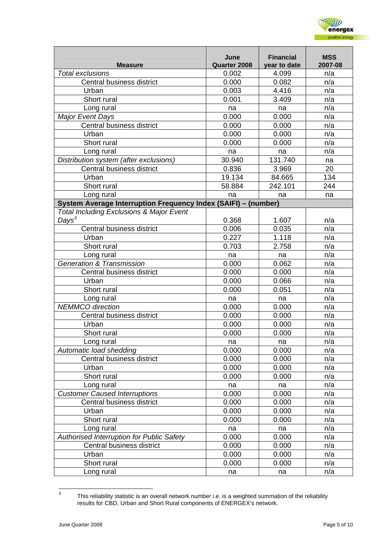

| <b>Measure</b>                                                 | June<br>Quarter 2008 | <b>Financial</b><br>year to date | <b>MSS</b><br>2007-08 |
|----------------------------------------------------------------|----------------------|----------------------------------|-----------------------|
| <b>Total exclusions</b>                                        | 0.002                | 4.099                            | n/a                   |
| Central business district                                      | 0.000                | 0.082                            | n/a                   |
| Urban                                                          | 0.003                | 4.416                            | n/a                   |
| Short rural                                                    | 0.001                | 3.409                            | n/a                   |
| Long rural                                                     | na                   | na                               | n/a                   |
| <b>Major Event Days</b>                                        | 0.000                | 0.000                            | n/a                   |
| Central business district                                      | 0.000                | 0.000                            | n/a                   |
| Urban                                                          | 0.000                | 0.000                            | n/a                   |
| Short rural                                                    | 0.000                | 0.000                            | n/a                   |
| Long rural                                                     | na                   | na                               | n/a                   |
| Distribution system (after exclusions)                         | 30.940               | 131.740                          | na                    |
| Central business district                                      | 0.836                | 3.969                            | 20                    |
| Urban                                                          | 19.134               | 84.665                           | 134                   |
| Short rural                                                    | 58.884               | 242.101                          | 244                   |
| Long rural                                                     | na                   | na                               | na                    |
| System Average Interruption Frequency Index (SAIFI) - (number) |                      |                                  |                       |
| <b>Total Including Exclusions &amp; Major Event</b>            |                      |                                  |                       |
| Days <sup>3</sup>                                              | 0.368                | 1.607                            | n/a                   |
| Central business district                                      | 0.006                | 0.035                            | n/a                   |
| Urban                                                          | 0.227                | 1.118                            | n/a                   |
| Short rural                                                    | 0.703                | 2.758                            | n/a                   |
| Long rural                                                     | na                   | na                               | n/a                   |
| <b>Generation &amp; Transmission</b>                           | 0.000                | 0.062                            | n/a                   |
| Central business district                                      | 0.000                | 0.000                            | n/a                   |
| Urban                                                          | 0.000                | 0.066                            | n/a                   |
| Short rural                                                    | 0.000                | 0.051                            | n/a                   |
| Long rural                                                     | na                   | na                               | n/a                   |
| <b>NEMMCO</b> direction                                        | 0.000                | 0.000                            | n/a                   |
| Central business district                                      | 0.000                | 0.000                            | n/a                   |
| Urban                                                          | 0.000                | 0.000                            | n/a                   |
| Short rural                                                    | 0.000                | 0.000                            | n/a                   |
| Long rural                                                     | na                   | na                               | n/a                   |
| Automatic load shedding                                        | 0.000                | 0.000                            | n/a                   |
| Central business district                                      | 0.000                | 0.000                            | n/a                   |
| Urban                                                          | 0.000                | 0.000                            | n/a                   |
| Short rural                                                    | 0.000                | 0.000                            | n/a                   |
| Long rural                                                     | na                   | na                               | n/a                   |
| <b>Customer Caused Interruptions</b>                           | 0.000                | 0.000                            | n/a                   |
| Central business district                                      | 0.000                | 0.000                            | n/a                   |
| Urban                                                          | 0.000                | 0.000                            | n/a                   |
| Short rural                                                    | 0.000                | 0.000                            | n/a                   |
| Long rural                                                     | na                   | na                               | n/a                   |
| Authorised Interruption for Public Safety                      | 0.000                | 0.000                            | n/a                   |
| Central business district                                      | 0.000                | 0.000                            | n/a                   |
| Urban                                                          | 0.000                | 0.000                            | n/a                   |
| Short rural                                                    | 0.000                | 0.000                            | n/a                   |
| Long rural                                                     | na                   | na                               | n/a                   |

<span id="page-4-0"></span> <sup>3</sup> This reliability statistic is an overall network number i.e. is a weighted summation of the reliability results for CBD, Urban and Short Rural components of ENERGEX's network.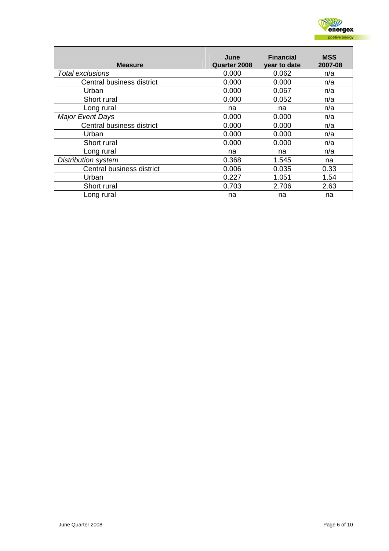

| <b>Measure</b>             | June<br><b>Quarter 2008</b> | <b>Financial</b><br>year to date | <b>MSS</b><br>2007-08 |
|----------------------------|-----------------------------|----------------------------------|-----------------------|
| Total exclusions           | 0.000                       | 0.062                            | n/a                   |
| Central business district  | 0.000                       | 0.000                            | n/a                   |
| Urban                      | 0.000                       | 0.067                            | n/a                   |
| Short rural                | 0.000                       | 0.052                            | n/a                   |
| Long rural                 | na                          | na                               | n/a                   |
| <b>Major Event Days</b>    | 0.000                       | 0.000                            | n/a                   |
| Central business district  | 0.000                       | 0.000                            | n/a                   |
| Urban                      | 0.000                       | 0.000                            | n/a                   |
| Short rural                | 0.000                       | 0.000                            | n/a                   |
| Long rural                 | na                          | na                               | n/a                   |
| <b>Distribution system</b> | 0.368                       | 1.545                            | na                    |
| Central business district  | 0.006                       | 0.035                            | 0.33                  |
| Urban                      | 0.227                       | 1.051                            | 1.54                  |
| Short rural                | 0.703                       | 2.706                            | 2.63                  |
| Long rural                 | na                          | na                               | na                    |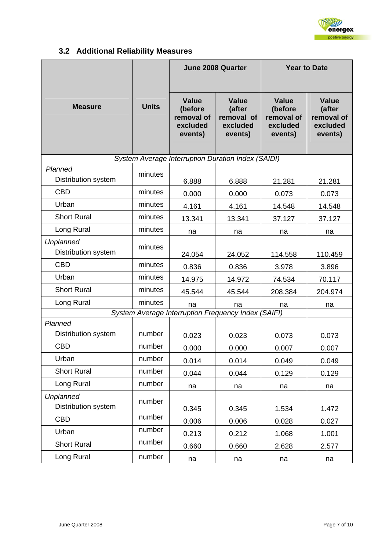

## **3.2 Additional Reliability Measures**

<span id="page-6-0"></span>

|                                                     |              |                                                              | <b>June 2008 Quarter</b>                                    | <b>Year to Date</b>                                          |                                                             |
|-----------------------------------------------------|--------------|--------------------------------------------------------------|-------------------------------------------------------------|--------------------------------------------------------------|-------------------------------------------------------------|
| <b>Measure</b>                                      | <b>Units</b> | <b>Value</b><br>(before<br>removal of<br>excluded<br>events) | <b>Value</b><br>(after<br>removal of<br>excluded<br>events) | <b>Value</b><br>(before<br>removal of<br>excluded<br>events) | <b>Value</b><br>(after<br>removal of<br>excluded<br>events) |
|                                                     |              |                                                              | System Average Interruption Duration Index (SAIDI)          |                                                              |                                                             |
| Planned<br>Distribution system                      | minutes      | 6.888                                                        | 6.888                                                       | 21.281                                                       | 21.281                                                      |
| <b>CBD</b>                                          | minutes      | 0.000                                                        | 0.000                                                       | 0.073                                                        | 0.073                                                       |
| Urban                                               | minutes      | 4.161                                                        | 4.161                                                       | 14.548                                                       | 14.548                                                      |
| <b>Short Rural</b>                                  | minutes      | 13.341                                                       | 13.341                                                      | 37.127                                                       | 37.127                                                      |
| Long Rural                                          | minutes      | na                                                           | na                                                          | na                                                           | na                                                          |
| <b>Unplanned</b><br><b>Distribution system</b>      | minutes      | 24.054                                                       | 24.052                                                      | 114.558                                                      | 110.459                                                     |
| <b>CBD</b>                                          | minutes      | 0.836                                                        | 0.836                                                       | 3.978                                                        | 3.896                                                       |
| Urban                                               | minutes      | 14.975                                                       | 14.972                                                      | 74.534                                                       | 70.117                                                      |
| <b>Short Rural</b>                                  | minutes      | 45.544                                                       | 45.544                                                      | 208.384                                                      | 204.974                                                     |
| Long Rural                                          | minutes      | na                                                           | na                                                          | na                                                           | na                                                          |
| System Average Interruption Frequency Index (SAIFI) |              |                                                              |                                                             |                                                              |                                                             |
| Planned<br>Distribution system                      | number       | 0.023                                                        | 0.023                                                       | 0.073                                                        | 0.073                                                       |
| <b>CBD</b>                                          | number       | 0.000                                                        | 0.000                                                       | 0.007                                                        | 0.007                                                       |
| Urban                                               | number       | 0.014                                                        | 0.014                                                       | 0.049                                                        | 0.049                                                       |
| <b>Short Rural</b>                                  | number       | 0.044                                                        | 0.044                                                       | 0.129                                                        | 0.129                                                       |
| Long Rural                                          | number       | na                                                           | na                                                          | na                                                           | na                                                          |
| <b>Unplanned</b><br>Distribution system             | number       | 0.345                                                        | 0.345                                                       | 1.534                                                        | 1.472                                                       |
| <b>CBD</b>                                          | number       | 0.006                                                        | 0.006                                                       | 0.028                                                        | 0.027                                                       |
| Urban                                               | number       | 0.213                                                        | 0.212                                                       | 1.068                                                        | 1.001                                                       |
| <b>Short Rural</b>                                  | number       | 0.660                                                        | 0.660                                                       | 2.628                                                        | 2.577                                                       |
| Long Rural                                          | number       | na                                                           | na                                                          | na                                                           | na                                                          |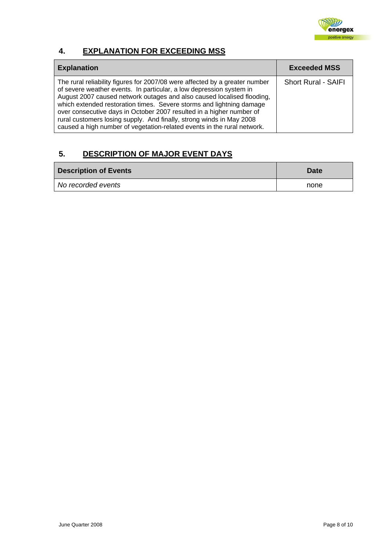

## <span id="page-7-0"></span>**4. EXPLANATION FOR EXCEEDING MSS**

| <b>Explanation</b>                                                                                                                                                                                                                                                                                                                                                                                                                                                                                                              | <b>Exceeded MSS</b>        |
|---------------------------------------------------------------------------------------------------------------------------------------------------------------------------------------------------------------------------------------------------------------------------------------------------------------------------------------------------------------------------------------------------------------------------------------------------------------------------------------------------------------------------------|----------------------------|
| The rural reliability figures for 2007/08 were affected by a greater number<br>of severe weather events. In particular, a low depression system in<br>August 2007 caused network outages and also caused localised flooding,<br>which extended restoration times. Severe storms and lightning damage<br>over consecutive days in October 2007 resulted in a higher number of<br>rural customers losing supply. And finally, strong winds in May 2008<br>caused a high number of vegetation-related events in the rural network. | <b>Short Rural - SAIFI</b> |

## **5. DESCRIPTION OF MAJOR EVENT DAYS**

| <b>Description of Events</b> | <b>Date</b> |
|------------------------------|-------------|
| No recorded events           | none        |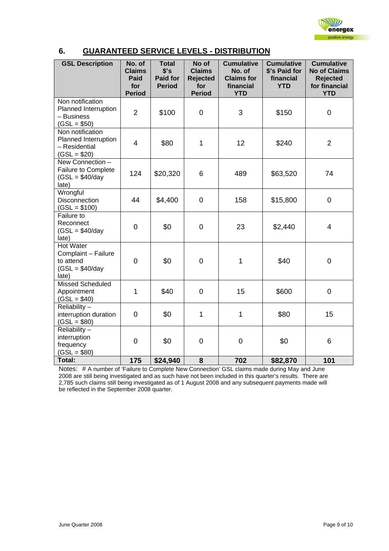

## <span id="page-8-0"></span>**6. GUARANTEED SERVICE LEVELS - DISTRIBUTION**

| <b>GSL Description</b>                                                            | No. of<br><b>Claims</b><br>Paid<br>for<br><b>Period</b> | <b>Total</b><br>\$'s<br><b>Paid for</b><br><b>Period</b> | No of<br><b>Claims</b><br><b>Rejected</b><br>for<br><b>Period</b> | <b>Cumulative</b><br>No. of<br><b>Claims for</b><br>financial<br><b>YTD</b> | <b>Cumulative</b><br>\$'s Paid for<br>financial<br><b>YTD</b> | <b>Cumulative</b><br><b>No of Claims</b><br><b>Rejected</b><br>for financial<br><b>YTD</b> |
|-----------------------------------------------------------------------------------|---------------------------------------------------------|----------------------------------------------------------|-------------------------------------------------------------------|-----------------------------------------------------------------------------|---------------------------------------------------------------|--------------------------------------------------------------------------------------------|
| Non notification<br>Planned Interruption<br>- Business<br>$(GSL = $50)$           | $\overline{2}$                                          | \$100                                                    | $\overline{0}$                                                    | 3                                                                           | \$150                                                         | $\overline{0}$                                                                             |
| Non notification<br>Planned Interruption<br>- Residential<br>$(GSL = $20)$        | $\overline{4}$                                          | \$80                                                     | $\mathbf{1}$                                                      | 12                                                                          | \$240                                                         | $\overline{2}$                                                                             |
| New Connection -<br><b>Failure to Complete</b><br>$(GSL = $40/day$<br>late)       | 124                                                     | \$20,320                                                 | 6                                                                 | 489                                                                         | \$63,520                                                      | 74                                                                                         |
| Wrongful<br>Disconnection<br>$(GSL = $100)$                                       | 44                                                      | \$4,400                                                  | $\mathbf 0$                                                       | 158                                                                         | \$15,800                                                      | $\mathbf 0$                                                                                |
| Failure to<br>Reconnect<br>$(GSL = $40/day$<br>late)                              | $\mathbf 0$                                             | \$0                                                      | 0                                                                 | 23                                                                          | \$2,440                                                       | 4                                                                                          |
| <b>Hot Water</b><br>Complaint - Failure<br>to attend<br>$(GSL = $40/day$<br>late) | $\overline{0}$                                          | \$0                                                      | $\overline{0}$                                                    | 1                                                                           | \$40                                                          | $\overline{0}$                                                                             |
| <b>Missed Scheduled</b><br>Appointment<br>$(GSL = $40)$                           | 1                                                       | \$40                                                     | $\overline{0}$                                                    | 15                                                                          | \$600                                                         | $\overline{0}$                                                                             |
| Reliability -<br>interruption duration<br>$(GSL = $80)$                           | $\mathbf 0$                                             | \$0                                                      | 1                                                                 | 1                                                                           | \$80                                                          | 15                                                                                         |
| Reliability $-$<br>interruption<br>frequency<br>$(GSL = $80)$                     | $\overline{0}$                                          | \$0                                                      | $\overline{0}$                                                    | $\mathbf 0$                                                                 | \$0                                                           | 6                                                                                          |
| Total:                                                                            | 175                                                     | \$24,940                                                 | 8                                                                 | 702                                                                         | \$82,870                                                      | 101                                                                                        |

Notes: # A number of 'Failure to Complete New Connection' GSL claims made during May and June 2008 are still being investigated and as such have not been included in this quarter's results. There are 2,785 such claims still being investigated as of 1 August 2008 and any subsequent payments made will be reflected in the September 2008 quarter.